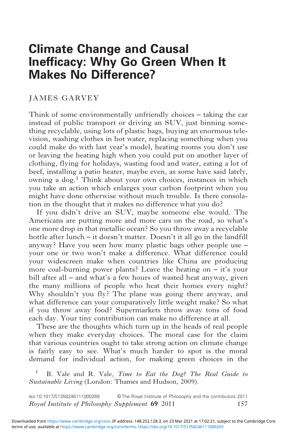# Climate Change and Causal Inefficacy: Why Go Green When It Makes No Difference?

#### JAMES GARVEY

Think of some environmentally unfriendly choices – taking the car instead of public transport or driving an SUV, just binning something recyclable, using lots of plastic bags, buying an enormous television, washing clothes in hot water, replacing something when you could make do with last year's model, heating rooms you don't use or leaving the heating high when you could put on another layer of clothing, flying for holidays, wasting food and water, eating a lot of beef, installing a patio heater, maybe even, as some have said lately, owning a dog.1 Think about your own choices, instances in which you take an action which enlarges your carbon footprint when you might have done otherwise without much trouble. Is there consolation in the thought that it makes no difference what you do?

If you didn't drive an SUV, maybe someone else would. The Americans are putting more and more cars on the road, so what's one more drop in that metallic ocean? So you throw away a recyclable bottle after lunch – it doesn't matter. Doesn't it all go in the landfill anyway? Have you seen how many plastic bags other people use – your one or two won't make a difference. What difference could your widescreen make when countries like China are producing more coal-burning power plants? Leave the heating on  $-$  it's your bill after all – and what's a few hours of wasted heat anyway, given the many millions of people who heat their homes every night? Why shouldn't you fly? The plane was going there anyway, and what difference can your comparatively little weight make? So what if you throw away food? Supermarkets throw away tons of food each day. Your tiny contribution can make no difference at all.

These are the thoughts which turn up in the heads of real people when they make everyday choices. The moral case for the claim that various countries ought to take strong action on climate change is fairly easy to see. What's much harder to spot is the moral demand for individual action, for making green choices in the

B. Vale and R. Vale, Time to Eat the Dog? The Real Guide to Sustainable Living (London: Thames and Hudson, 2009).

157 doi:10.1017/S1358246111000269 © The Royal Institute of Philosophy and the contributors 2011 Royal Institute of Philosophy Supplement 69 2011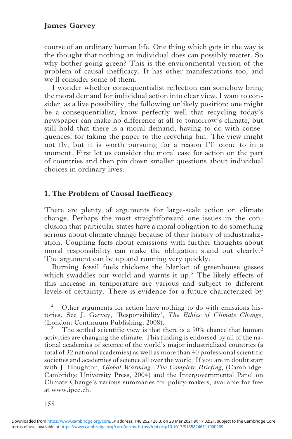course of an ordinary human life. One thing which gets in the way is the thought that nothing an individual does can possibly matter. So why bother going green? This is the environmental version of the problem of causal inefficacy. It has other manifestations too, and we'll consider some of them.

I wonder whether consequentialist reflection can somehow bring the moral demand for individual action into clear view. I want to consider, as a live possibility, the following unlikely position: one might be a consequentialist, know perfectly well that recycling today's newspaper can make no difference at all to tomorrow's climate, but still hold that there is a moral demand, having to do with consequences, for taking the paper to the recycling bin. The view might not fly, but it is worth pursuing for a reason I'll come to in a moment. First let us consider the moral case for action on the part of countries and then pin down smaller questions about individual choices in ordinary lives.

# 1. The Problem of Causal Inefficacy

There are plenty of arguments for large-scale action on climate change. Perhaps the most straightforward one issues in the conclusion that particular states have a moral obligation to do something serious about climate change because of their history of industrialization. Coupling facts about emissions with further thoughts about moral responsibility can make the obligation stand out clearly.<sup>2</sup> The argument can be up and running very quickly.

Burning fossil fuels thickens the blanket of greenhouse gasses which swaddles our world and warms it up.<sup>3</sup> The likely effects of this increase in temperature are various and subject to different levels of certainty. There is evidence for a future characterized by

<sup>2</sup> Other arguments for action have nothing to do with emissions histories. See J. Garvey, 'Responsibility', The Ethics of Climate Change, (London: Continuum Publishing, 2008).

The settled scientific view is that there is a 90% chance that human activities are changing the climate. This finding is endorsed by all of the national academies of science of the world's major industrialized countries (a total of 32 national academies) as well as more than 40 professional scientific societies and academies of science all over the world. If you are in doubt start with J. Houghton, *Global Warming: The Complete Briefing*, (Cambridge: Cambridge University Press, 2004) and the Intergovernmental Panel on Climate Change's various summaries for policy-makers, available for free at www.ipcc.ch.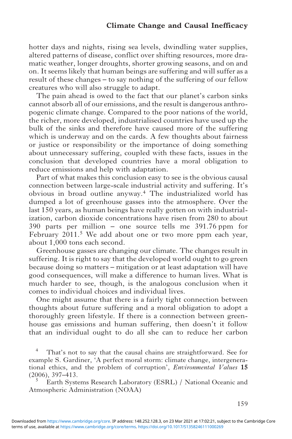#### Climate Change and Causal Inefficacy

hotter days and nights, rising sea levels, dwindling water supplies, altered patterns of disease, conflict over shifting resources, more dramatic weather, longer droughts, shorter growing seasons, and on and on. It seems likely that human beings are suffering and will suffer as a result of these changes – to say nothing of the suffering of our fellow creatures who will also struggle to adapt.

The pain ahead is owed to the fact that our planet's carbon sinks cannot absorb all of our emissions, and the result is dangerous anthropogenic climate change. Compared to the poor nations of the world, the richer, more developed, industrialised countries have used up the bulk of the sinks and therefore have caused more of the suffering which is underway and on the cards. A few thoughts about fairness or justice or responsibility or the importance of doing something about unnecessary suffering, coupled with these facts, issues in the conclusion that developed countries have a moral obligation to reduce emissions and help with adaptation.

Part of what makes this conclusion easy to see is the obvious causal connection between large-scale industrial activity and suffering. It's obvious in broad outline anyway.<sup>4</sup> The industrialized world has dumped a lot of greenhouse gasses into the atmosphere. Over the last 150 years, as human beings have really gotten on with industrialization, carbon dioxide concentrations have risen from 280 to about 390 parts per million – one source tells me 391.76 ppm for February 2011.<sup>5</sup> We add about one or two more ppm each year, about 1,000 tons each second.

Greenhouse gasses are changing our climate. The changes result in suffering. It is right to say that the developed world ought to go green because doing so matters – mitigation or at least adaptation will have good consequences, will make a difference to human lives. What is much harder to see, though, is the analogous conclusion when it comes to individual choices and individual lives.

One might assume that there is a fairly tight connection between thoughts about future suffering and a moral obligation to adopt a thoroughly green lifestyle. If there is a connection between greenhouse gas emissions and human suffering, then doesn't it follow that an individual ought to do all she can to reduce her carbon

That's not to say that the causal chains are straightforward. See for example S. Gardiner, 'A perfect moral storm: climate change, intergenerational ethics, and the problem of corruption', Environmental Values 15 (2006), 397–413.

<sup>5</sup> Earth Systems Research Laboratory (ESRL) / National Oceanic and Atmospheric Administration (NOAA)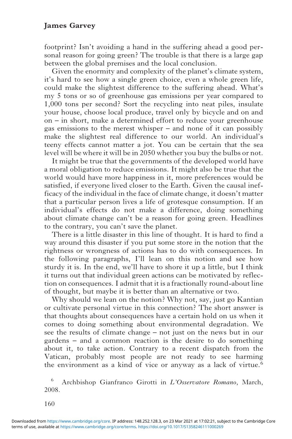footprint? Isn't avoiding a hand in the suffering ahead a good personal reason for going green? The trouble is that there is a large gap between the global premises and the local conclusion.

Given the enormity and complexity of the planet's climate system, it's hard to see how a single green choice, even a whole green life, could make the slightest difference to the suffering ahead. What's my 5 tons or so of greenhouse gas emissions per year compared to 1,000 tons per second? Sort the recycling into neat piles, insulate your house, choose local produce, travel only by bicycle and on and on – in short, make a determined effort to reduce your greenhouse gas emissions to the merest whisper – and none of it can possibly make the slightest real difference to our world. An individual's teeny effects cannot matter a jot. You can be certain that the sea level will be where it will be in 2050 whether you buy the bulbs or not.

It might be true that the governments of the developed world have a moral obligation to reduce emissions. It might also be true that the world would have more happiness in it, more preferences would be satisfied, if everyone lived closer to the Earth. Given the causal inefficacy of the individual in the face of climate change, it doesn't matter that a particular person lives a life of grotesque consumption. If an individual's effects do not make a difference, doing something about climate change can't be a reason for going green. Headlines to the contrary, you can't save the planet.

There is a little disaster in this line of thought. It is hard to find a way around this disaster if you put some store in the notion that the rightness or wrongness of actions has to do with consequences. In the following paragraphs, I'll lean on this notion and see how sturdy it is. In the end, we'll have to shore it up a little, but I think it turns out that individual green actions can be motivated by reflection on consequences. I admit that it is a fractionally round-about line of thought, but maybe it is better than an alternative or two.

Why should we lean on the notion? Why not, say, just go Kantian or cultivate personal virtue in this connection? The short answer is that thoughts about consequences have a certain hold on us when it comes to doing something about environmental degradation. We see the results of climate change – not just on the news but in our gardens – and a common reaction is the desire to do something about it, to take action. Contrary to a recent dispatch from the Vatican, probably most people are not ready to see harming the environment as a kind of vice or anyway as a lack of virtue.<sup>6</sup>

Archbishop Gianfranco Girotti in L'Osservatore Romano, March, 2008.

160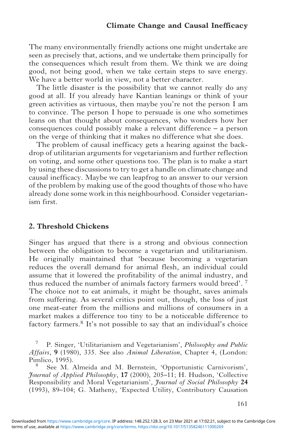The many environmentally friendly actions one might undertake are seen as precisely that, actions, and we undertake them principally for the consequences which result from them. We think we are doing good, not being good, when we take certain steps to save energy. We have a better world in view, not a better character.

The little disaster is the possibility that we cannot really do any good at all. If you already have Kantian leanings or think of your green activities as virtuous, then maybe you're not the person I am to convince. The person I hope to persuade is one who sometimes leans on that thought about consequences, who wonders how her consequences could possibly make a relevant difference – a person on the verge of thinking that it makes no difference what she does.

The problem of causal inefficacy gets a hearing against the backdrop of utilitarian arguments for vegetarianism and further reflection on voting, and some other questions too. The plan is to make a start by using these discussions to try to get a handle on climate change and causal inefficacy. Maybe we can leapfrog to an answer to our version of the problem by making use of the good thoughts of those who have already done some work in this neighbourhood. Consider vegetarianism first.

#### 2. Threshold Chickens

Singer has argued that there is a strong and obvious connection between the obligation to become a vegetarian and utilitarianism. He originally maintained that 'because becoming a vegetarian reduces the overall demand for animal flesh, an individual could assume that it lowered the profitability of the animal industry, and thus reduced the number of animals factory farmers would breed'. <sup>7</sup> The choice not to eat animals, it might be thought, saves animals from suffering. As several critics point out, though, the loss of just one meat-eater from the millions and millions of consumers in a market makes a difference too tiny to be a noticeable difference to factory farmers.<sup>8</sup> It's not possible to say that an individual's choice

<sup>7</sup> P. Singer, 'Utilitarianism and Vegetarianism', *Philosophy and Public* Affairs, 9 (1980), 335. See also Animal Liberation, Chapter 4, (London: Pimlico, 1995).

See M. Almeida and M. Bernstein, 'Opportunistic Carnivorism', Journal of Applied Philosophy, 17 (2000), 205–11; H. Hudson, 'Collective Responsibility and Moral Vegetarianism', Journal of Social Philosophy 24 (1993), 89–104; G. Matheny, 'Expected Utility, Contributory Causation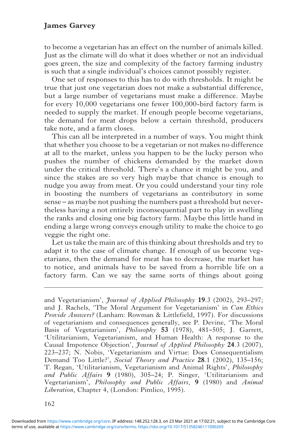to become a vegetarian has an effect on the number of animals killed. Just as the climate will do what it does whether or not an individual goes green, the size and complexity of the factory farming industry is such that a single individual's choices cannot possibly register.

One set of responses to this has to do with thresholds. It might be true that just one vegetarian does not make a substantial difference, but a large number of vegetarians must make a difference. Maybe for every 10,000 vegetarians one fewer 100,000-bird factory farm is needed to supply the market. If enough people become vegetarians, the demand for meat drops below a certain threshold, producers take note, and a farm closes.

This can all be interpreted in a number of ways. You might think that whether you choose to be a vegetarian or not makes no difference at all to the market, unless you happen to be the lucky person who pushes the number of chickens demanded by the market down under the critical threshold. There's a chance it might be you, and since the stakes are so very high maybe that chance is enough to nudge you away from meat. Or you could understand your tiny role in boosting the numbers of vegetarians as contributory in some sense – as maybe not pushing the numbers past a threshold but nevertheless having a not entirely inconsequential part to play in swelling the ranks and closing one big factory farm. Maybe this little hand in ending a large wrong conveys enough utility to make the choice to go veggie the right one.

Let us take the main arc of this thinking about thresholds and try to adapt it to the case of climate change. If enough of us become vegetarians, then the demand for meat has to decrease, the market has to notice, and animals have to be saved from a horrible life on a factory farm. Can we say the same sorts of things about going

and Vegetarianism', Journal of Applied Philosophy 19.3 (2002), 293–297; and J. Rachels, 'The Moral Argument for Vegetarianism' in Can Ethics Provide Answers? (Lanham: Rowman & Littlefield, 1997). For discussions of vegetarianism and consequences generally, see P. Devine, 'The Moral Basis of Vegetarianism', Philosophy 53 (1978), 481–505; J. Garrett, 'Utilitarianism, Vegetarianism, and Human Health: A response to the Causal Impotence Objection', Journal of Applied Philosophy 24.3 (2007), 223–237; N. Nobis, 'Vegetarianism and Virtue: Does Consequentialism Demand Too Little?', Social Theory and Practice 28.1 (2002), 135-156; T. Regan, 'Utilitarianism, Vegetarianism and Animal Rights', Philosophy and Public Affairs 9 (1980), 305–24; P. Singer, 'Utilitarianism and Vegetarianism', Philosophy and Public Affairs, 9 (1980) and Animal Liberation, Chapter 4, (London: Pimlico, 1995).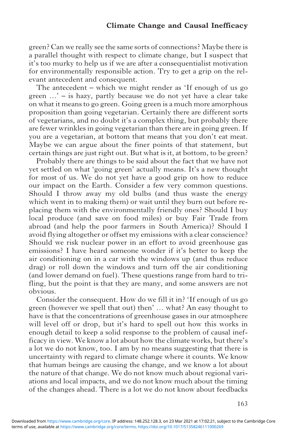green? Can we really see the same sorts of connections? Maybe there is a parallel thought with respect to climate change, but I suspect that it's too murky to help us if we are after a consequentialist motivation for environmentally responsible action. Try to get a grip on the relevant antecedent and consequent.

The antecedent – which we might render as 'If enough of us go green …' – is hazy, partly because we do not yet have a clear take on what it means to go green. Going green is a much more amorphous proposition than going vegetarian. Certainly there are different sorts of vegetarians, and no doubt it's a complex thing, but probably there are fewer wrinkles in going vegetarian than there are in going green. If you are a vegetarian, at bottom that means that you don't eat meat. Maybe we can argue about the finer points of that statement, but certain things are just right out. But what is it, at bottom, to be green?

Probably there are things to be said about the fact that we have not yet settled on what 'going green' actually means. It's a new thought for most of us. We do not yet have a good grip on how to reduce our impact on the Earth. Consider a few very common questions. Should I throw away my old bulbs (and thus waste the energy which went in to making them) or wait until they burn out before replacing them with the environmentally friendly ones? Should I buy local produce (and save on food miles) or buy Fair Trade from abroad (and help the poor farmers in South America)? Should I avoid flying altogether or offset my emissions with a clear conscience? Should we risk nuclear power in an effort to avoid greenhouse gas emissions? I have heard someone wonder if it's better to keep the air conditioning on in a car with the windows up (and thus reduce drag) or roll down the windows and turn off the air conditioning (and lower demand on fuel). These questions range from hard to trifling, but the point is that they are many, and some answers are not obvious.

Consider the consequent. How do we fill it in? 'If enough of us go green (however we spell that out) then' … what? An easy thought to have is that the concentrations of greenhouse gases in our atmosphere will level off or drop, but it's hard to spell out how this works in enough detail to keep a solid response to the problem of causal inefficacy in view. We know a lot about how the climate works, but there's a lot we do not know, too. I am by no means suggesting that there is uncertainty with regard to climate change where it counts. We know that human beings are causing the change, and we know a lot about the nature of that change. We do not know much about regional variations and local impacts, and we do not know much about the timing of the changes ahead. There is a lot we do not know about feedbacks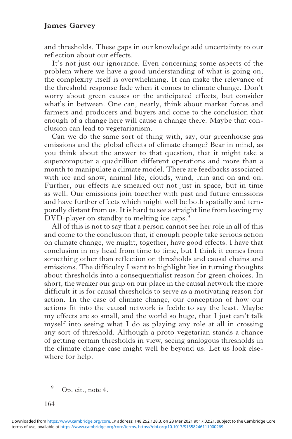and thresholds. These gaps in our knowledge add uncertainty to our reflection about our effects.

It's not just our ignorance. Even concerning some aspects of the problem where we have a good understanding of what is going on, the complexity itself is overwhelming. It can make the relevance of the threshold response fade when it comes to climate change. Don't worry about green causes or the anticipated effects, but consider what's in between. One can, nearly, think about market forces and farmers and producers and buyers and come to the conclusion that enough of a change here will cause a change there. Maybe that conclusion can lead to vegetarianism.

Can we do the same sort of thing with, say, our greenhouse gas emissions and the global effects of climate change? Bear in mind, as you think about the answer to that question, that it might take a supercomputer a quadrillion different operations and more than a month to manipulate a climate model. There are feedbacks associated with ice and snow, animal life, clouds, wind, rain and on and on. Further, our effects are smeared out not just in space, but in time as well. Our emissions join together with past and future emissions and have further effects which might well be both spatially and temporally distant from us. It is hard to see a straight line from leaving my DVD-player on standby to melting ice caps.<sup>9</sup>

All of this is not to say that a person cannot see her role in all of this and come to the conclusion that, if enough people take serious action on climate change, we might, together, have good effects. I have that conclusion in my head from time to time, but I think it comes from something other than reflection on thresholds and causal chains and emissions. The difficulty I want to highlight lies in turning thoughts about thresholds into a consequentialist reason for green choices. In short, the weaker our grip on our place in the causal network the more difficult it is for causal thresholds to serve as a motivating reason for action. In the case of climate change, our conception of how our actions fit into the causal network is feeble to say the least. Maybe my effects are so small, and the world so huge, that I just can't talk myself into seeing what I do as playing any role at all in crossing any sort of threshold. Although a proto-vegetarian stands a chance of getting certain thresholds in view, seeing analogous thresholds in the climate change case might well be beyond us. Let us look elsewhere for help.

Op. cit., note 4.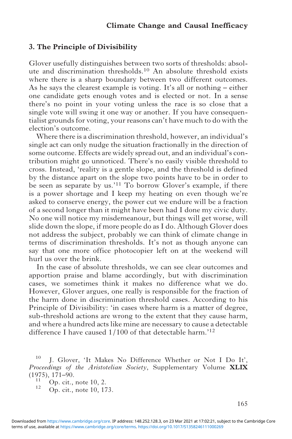#### 3. The Principle of Divisibility

Glover usefully distinguishes between two sorts of thresholds: absolute and discrimination thresholds.<sup>10</sup> An absolute threshold exists where there is a sharp boundary between two different outcomes. As he says the clearest example is voting. It's all or nothing – either one candidate gets enough votes and is elected or not. In a sense there's no point in your voting unless the race is so close that a single vote will swing it one way or another. If you have consequentialist grounds for voting, your reasons can't have much to do with the election's outcome.

Where there is a discrimination threshold, however, an individual's single act can only nudge the situation fractionally in the direction of some outcome. Effects are widely spread out, and an individual's contribution might go unnoticed. There's no easily visible threshold to cross. Instead, 'reality is a gentle slope, and the threshold is defined by the distance apart on the slope two points have to be in order to be seen as separate by us.'<sup>11</sup> To borrow Glover's example, if there is a power shortage and I keep my heating on even though we're asked to conserve energy, the power cut we endure will be a fraction of a second longer than it might have been had I done my civic duty. No one will notice my misdemeanour, but things will get worse, will slide down the slope, if more people do as I do. Although Glover does not address the subject, probably we can think of climate change in terms of discrimination thresholds. It's not as though anyone can say that one more office photocopier left on at the weekend will hurl us over the brink.

In the case of absolute thresholds, we can see clear outcomes and apportion praise and blame accordingly, but with discrimination cases, we sometimes think it makes no difference what we do. However, Glover argues, one really is responsible for the fraction of the harm done in discrimination threshold cases. According to his Principle of Divisibility: 'in cases where harm is a matter of degree, sub-threshold actions are wrong to the extent that they cause harm, and where a hundred acts like mine are necessary to cause a detectable difference I have caused 1/100 of that detectable harm.' 12

 $10$  J. Glover, 'It Makes No Difference Whether or Not I Do It', Proceedings of the Aristotelian Society, Supplementary Volume XLIX (1975), 171–90.

 $\begin{array}{c} \n\frac{11}{2} \n\end{array}$  Op. cit., note 10, 173.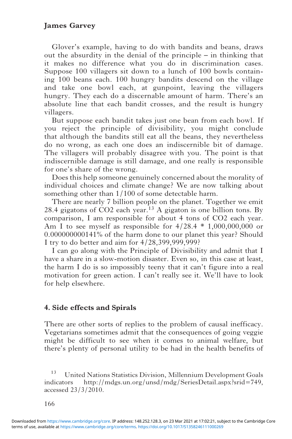Glover's example, having to do with bandits and beans, draws out the absurdity in the denial of the principle – in thinking that it makes no difference what you do in discrimination cases. Suppose 100 villagers sit down to a lunch of 100 bowls containing 100 beans each. 100 hungry bandits descend on the village and take one bowl each, at gunpoint, leaving the villagers hungry. They each do a discernable amount of harm. There's an absolute line that each bandit crosses, and the result is hungry villagers.

But suppose each bandit takes just one bean from each bowl. If you reject the principle of divisibility, you might conclude that although the bandits still eat all the beans, they nevertheless do no wrong, as each one does an indiscernible bit of damage. The villagers will probably disagree with you. The point is that indiscernible damage is still damage, and one really is responsible for one's share of the wrong.

Does this help someone genuinely concerned about the morality of individual choices and climate change? We are now talking about something other than 1/100 of some detectable harm.

There are nearly 7 billion people on the planet. Together we emit 28.4 gigatons of CO2 each year.<sup>13</sup> A gigaton is one billion tons. By comparison, I am responsible for about 4 tons of CO2 each year. Am I to see myself as responsible for  $4/28.4 * 1,000,000,000$  or 0.000000000141% of the harm done to our planet this year? Should I try to do better and aim for 4/28,399,999,999?

I can go along with the Principle of Divisibility and admit that I have a share in a slow-motion disaster. Even so, in this case at least, the harm I do is so impossibly teeny that it can't figure into a real motivation for green action. I can't really see it. We'll have to look for help elsewhere.

#### 4. Side effects and Spirals

There are other sorts of replies to the problem of causal inefficacy. Vegetarians sometimes admit that the consequences of going veggie might be difficult to see when it comes to animal welfare, but there's plenty of personal utility to be had in the health benefits of

<sup>13</sup> United Nations Statistics Division, Millennium Development Goals indicators http://mdgs.un.org/unsd/mdg/SeriesDetail.aspx?srid=749, accessed 23/3/2010.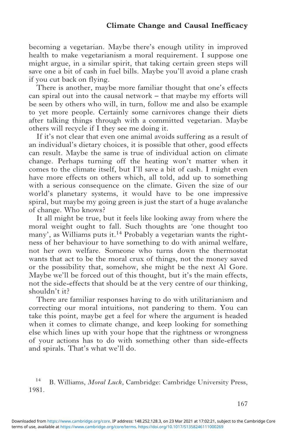becoming a vegetarian. Maybe there's enough utility in improved health to make vegetarianism a moral requirement. I suppose one might argue, in a similar spirit, that taking certain green steps will save one a bit of cash in fuel bills. Maybe you'll avoid a plane crash if you cut back on flying.

There is another, maybe more familiar thought that one's effects can spiral out into the causal network – that maybe my efforts will be seen by others who will, in turn, follow me and also be example to yet more people. Certainly some carnivores change their diets after talking things through with a committed vegetarian. Maybe others will recycle if I they see me doing it.

If it's not clear that even one animal avoids suffering as a result of an individual's dietary choices, it is possible that other, good effects can result. Maybe the same is true of individual action on climate change. Perhaps turning off the heating won't matter when it comes to the climate itself, but I'll save a bit of cash. I might even have more effects on others which, all told, add up to something with a serious consequence on the climate. Given the size of our world's planetary systems, it would have to be one impressive spiral, but maybe my going green is just the start of a huge avalanche of change. Who knows?

It all might be true, but it feels like looking away from where the moral weight ought to fall. Such thoughts are 'one thought too many', as Williams puts it.<sup>14</sup> Probably a vegetarian wants the rightness of her behaviour to have something to do with animal welfare, not her own welfare. Someone who turns down the thermostat wants that act to be the moral crux of things, not the money saved or the possibility that, somehow, she might be the next Al Gore. Maybe we'll be forced out of this thought, but it's the main effects, not the side-effects that should be at the very centre of our thinking, shouldn't it?

There are familiar responses having to do with utilitarianism and correcting our moral intuitions, not pandering to them. You can take this point, maybe get a feel for where the argument is headed when it comes to climate change, and keep looking for something else which lines up with your hope that the rightness or wrongness of your actions has to do with something other than side-effects and spirals. That's what we'll do.

<sup>&</sup>lt;sup>14</sup> B. Williams, *Moral Luck*, Cambridge: Cambridge University Press, 1981.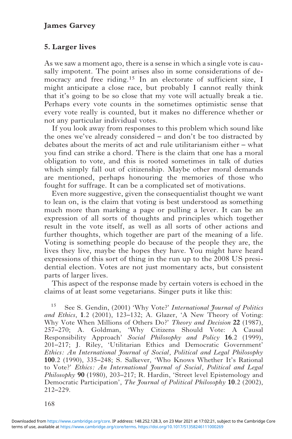# 5. Larger lives

As we saw a moment ago, there is a sense in which a single vote is causally impotent. The point arises also in some considerations of democracy and free riding.<sup>15</sup> In an electorate of sufficient size, I might anticipate a close race, but probably I cannot really think that it's going to be so close that my vote will actually break a tie. Perhaps every vote counts in the sometimes optimistic sense that every vote really is counted, but it makes no difference whether or not any particular individual votes.

If you look away from responses to this problem which sound like the ones we've already considered – and don't be too distracted by debates about the merits of act and rule utilitarianism either – what you find can strike a chord. There is the claim that one has a moral obligation to vote, and this is rooted sometimes in talk of duties which simply fall out of citizenship. Maybe other moral demands are mentioned, perhaps honouring the memories of those who fought for suffrage. It can be a complicated set of motivations.

Even more suggestive, given the consequentialist thought we want to lean on, is the claim that voting is best understood as something much more than marking a page or pulling a lever. It can be an expression of all sorts of thoughts and principles which together result in the vote itself, as well as all sorts of other actions and further thoughts, which together are part of the meaning of a life. Voting is something people do because of the people they are, the lives they live, maybe the hopes they have. You might have heard expressions of this sort of thing in the run up to the 2008 US presidential election. Votes are not just momentary acts, but consistent parts of larger lives.

This aspect of the response made by certain voters is echoed in the claims of at least some vegetarians. Singer puts it like this:

<sup>15</sup> See S. Gendin, (2001) 'Why Vote?' *International Journal of Politics* and Ethics, 1.2 (2001), 123–132; A. Glazer, 'A New Theory of Voting: Why Vote When Millions of Others Do?' Theory and Decision 22 (1987), 257–270; A. Goldman, 'Why Citizens Should Vote: A Causal Responsibility Approach' Social Philosophy and Policy 16.2 (1999), 201–217; J. Riley, 'Utilitarian Ethics and Democratic Government' Ethics: An International Journal of Social, Political and Legal Philosophy 100.2 (1990), 335–248; S. Salkever, 'Who Knows Whether It's Rational to Vote?' Ethics: An International Journal of Social, Political and Legal Philosophy 90 (1980), 203-217; R. Hardin, 'Street level Epistemology and Democratic Participation', The Journal of Political Philosophy 10.2 (2002), 212–229.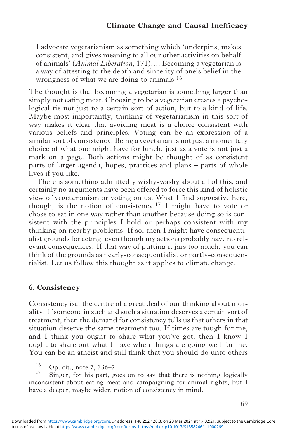I advocate vegetarianism as something which 'underpins, makes consistent, and gives meaning to all our other activities on behalf of animals' (Animal Liberation, 171)…. Becoming a vegetarian is a way of attesting to the depth and sincerity of one's belief in the wrongness of what we are doing to animals.<sup>16</sup>

The thought is that becoming a vegetarian is something larger than simply not eating meat. Choosing to be a vegetarian creates a psychological tie not just to a certain sort of action, but to a kind of life. Maybe most importantly, thinking of vegetarianism in this sort of way makes it clear that avoiding meat is a choice consistent with various beliefs and principles. Voting can be an expression of a similar sort of consistency. Being a vegetarian is not just a momentary choice of what one might have for lunch, just as a vote is not just a mark on a page. Both actions might be thought of as consistent parts of larger agenda, hopes, practices and plans – parts of whole lives if you like.

There is something admittedly wishy-washy about all of this, and certainly no arguments have been offered to force this kind of holistic view of vegetarianism or voting on us. What I find suggestive here, though, is the notion of consistency.<sup>17</sup> I might have to vote or chose to eat in one way rather than another because doing so is consistent with the principles I hold or perhaps consistent with my thinking on nearby problems. If so, then I might have consequentialist grounds for acting, even though my actions probably have no relevant consequences. If that way of putting it jars too much, you can think of the grounds as nearly-consequentialist or partly-consequentialist. Let us follow this thought as it applies to climate change.

#### 6. Consistency

Consistency isat the centre of a great deal of our thinking about morality. If someone in such and such a situation deserves a certain sort of treatment, then the demand for consistency tells us that others in that situation deserve the same treatment too. If times are tough for me, and I think you ought to share what you've got, then I know I ought to share out what I have when things are going well for me. You can be an atheist and still think that you should do unto others

 $\frac{16}{17}$  Op. cit., note 7, 336–7.

Singer, for his part, goes on to say that there is nothing logically inconsistent about eating meat and campaigning for animal rights, but I have a deeper, maybe wider, notion of consistency in mind.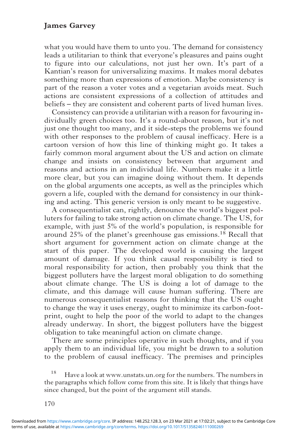what you would have them to unto you. The demand for consistency leads a utilitarian to think that everyone's pleasures and pains ought to figure into our calculations, not just her own. It's part of a Kantian's reason for universalizing maxims. It makes moral debates something more than expressions of emotion. Maybe consistency is part of the reason a voter votes and a vegetarian avoids meat. Such actions are consistent expressions of a collection of attitudes and beliefs – they are consistent and coherent parts of lived human lives.

Consistency can provide a utilitarian with a reason for favouring individually green choices too. It's a round-about reason, but it's not just one thought too many, and it side-steps the problems we found with other responses to the problem of causal inefficacy. Here is a cartoon version of how this line of thinking might go. It takes a fairly common moral argument about the US and action on climate change and insists on consistency between that argument and reasons and actions in an individual life. Numbers make it a little more clear, but you can imagine doing without them. It depends on the global arguments one accepts, as well as the principles which govern a life, coupled with the demand for consistency in our thinking and acting. This generic version is only meant to be suggestive.

A consequentialist can, rightly, denounce the world's biggest polluters for failing to take strong action on climate change. The US, for example, with just 5% of the world's population, is responsible for around 25% of the planet's greenhouse gas emissions.<sup>18</sup> Recall that short argument for government action on climate change at the start of this paper. The developed world is causing the largest amount of damage. If you think causal responsibility is tied to moral responsibility for action, then probably you think that the biggest polluters have the largest moral obligation to do something about climate change. The US is doing a lot of damage to the climate, and this damage will cause human suffering. There are numerous consequentialist reasons for thinking that the US ought to change the way it uses energy, ought to minimize its carbon-footprint, ought to help the poor of the world to adapt to the changes already underway. In short, the biggest polluters have the biggest obligation to take meaningful action on climate change.

There are some principles operative in such thoughts, and if you apply them to an individual life, you might be drawn to a solution to the problem of causal inefficacy. The premises and principles

<sup>18</sup> Have a look at www.unstats.un.org for the numbers. The numbers in the paragraphs which follow come from this site. It is likely that things have since changed, but the point of the argument still stands.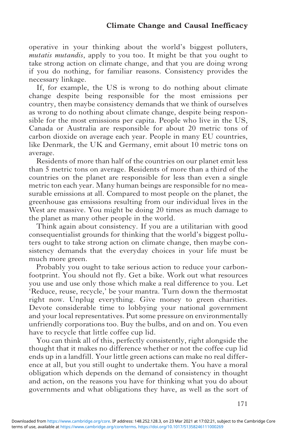operative in your thinking about the world's biggest polluters, mutatis mutandis, apply to you too. It might be that you ought to take strong action on climate change, and that you are doing wrong if you do nothing, for familiar reasons. Consistency provides the necessary linkage.

If, for example, the US is wrong to do nothing about climate change despite being responsible for the most emissions per country, then maybe consistency demands that we think of ourselves as wrong to do nothing about climate change, despite being responsible for the most emissions per capita. People who live in the US, Canada or Australia are responsible for about 20 metric tons of carbon dioxide on average each year. People in many EU countries, like Denmark, the UK and Germany, emit about 10 metric tons on average.

Residents of more than half of the countries on our planet emit less than 5 metric tons on average. Residents of more than a third of the countries on the planet are responsible for less than even a single metric ton each year. Many human beings are responsible for no measurable emissions at all. Compared to most people on the planet, the greenhouse gas emissions resulting from our individual lives in the West are massive. You might be doing 20 times as much damage to the planet as many other people in the world.

Think again about consistency. If you are a utilitarian with good consequentialist grounds for thinking that the world's biggest polluters ought to take strong action on climate change, then maybe consistency demands that the everyday choices in your life must be much more green.

Probably you ought to take serious action to reduce your carbonfootprint. You should not fly. Get a bike. Work out what resources you use and use only those which make a real difference to you. Let 'Reduce, reuse, recycle,' be your mantra. Turn down the thermostat right now. Unplug everything. Give money to green charities. Devote considerable time to lobbying your national government and your local representatives. Put some pressure on environmentally unfriendly corporations too. Buy the bulbs, and on and on. You even have to recycle that little coffee cup lid.

You can think all of this, perfectly consistently, right alongside the thought that it makes no difference whether or not the coffee cup lid ends up in a landfill. Your little green actions can make no real difference at all, but you still ought to undertake them. You have a moral obligation which depends on the demand of consistency in thought and action, on the reasons you have for thinking what you do about governments and what obligations they have, as well as the sort of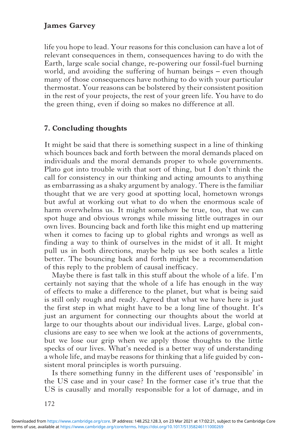life you hope to lead. Your reasons for this conclusion can have a lot of relevant consequences in them, consequences having to do with the Earth, large scale social change, re-powering our fossil-fuel burning world, and avoiding the suffering of human beings – even though many of those consequences have nothing to do with your particular thermostat. Your reasons can be bolstered by their consistent position in the rest of your projects, the rest of your green life. You have to do the green thing, even if doing so makes no difference at all.

# 7. Concluding thoughts

It might be said that there is something suspect in a line of thinking which bounces back and forth between the moral demands placed on individuals and the moral demands proper to whole governments. Plato got into trouble with that sort of thing, but I don't think the call for consistency in our thinking and acting amounts to anything as embarrassing as a shaky argument by analogy. There is the familiar thought that we are very good at spotting local, hometown wrongs but awful at working out what to do when the enormous scale of harm overwhelms us. It might somehow be true, too, that we can spot huge and obvious wrongs while missing little outrages in our own lives. Bouncing back and forth like this might end up mattering when it comes to facing up to global rights and wrongs as well as finding a way to think of ourselves in the midst of it all. It might pull us in both directions, maybe help us see both scales a little better. The bouncing back and forth might be a recommendation of this reply to the problem of causal inefficacy.

Maybe there is fast talk in this stuff about the whole of a life. I'm certainly not saying that the whole of a life has enough in the way of effects to make a difference to the planet, but what is being said is still only rough and ready. Agreed that what we have here is just the first step in what might have to be a long line of thought. It's just an argument for connecting our thoughts about the world at large to our thoughts about our individual lives. Large, global conclusions are easy to see when we look at the actions of governments, but we lose our grip when we apply those thoughts to the little specks of our lives. What's needed is a better way of understanding a whole life, and maybe reasons for thinking that a life guided by consistent moral principles is worth pursuing.

Is there something funny in the different uses of 'responsible' in the US case and in your case? In the former case it's true that the US is causally and morally responsible for a lot of damage, and in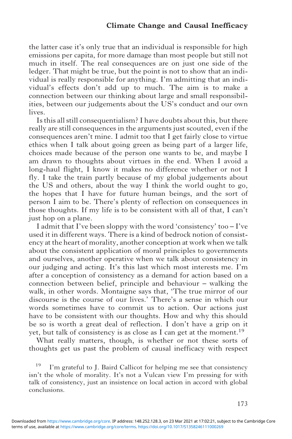the latter case it's only true that an individual is responsible for high emissions per capita, for more damage than most people but still not much in itself. The real consequences are on just one side of the ledger. That might be true, but the point is not to show that an individual is really responsible for anything. I'm admitting that an individual's effects don't add up to much. The aim is to make a connection between our thinking about large and small responsibilities, between our judgements about the US's conduct and our own lives.

Is this all still consequentialism? I have doubts about this, but there really are still consequences in the arguments just scouted, even if the consequences aren't mine. I admit too that I get fairly close to virtue ethics when I talk about going green as being part of a larger life, choices made because of the person one wants to be, and maybe I am drawn to thoughts about virtues in the end. When I avoid a long-haul flight, I know it makes no difference whether or not I fly. I take the train partly because of my global judgements about the US and others, about the way I think the world ought to go, the hopes that I have for future human beings, and the sort of person I aim to be. There's plenty of reflection on consequences in those thoughts. If my life is to be consistent with all of that, I can't just hop on a plane.

I admit that I've been sloppy with the word 'consistency' too – I've used it in different ways. There is a kind of bedrock notion of consistency at the heart of morality, another conception at work when we talk about the consistent application of moral principles to governments and ourselves, another operative when we talk about consistency in our judging and acting. It's this last which most interests me. I'm after a conception of consistency as a demand for action based on a connection between belief, principle and behaviour – walking the walk, in other words. Montaigne says that, 'The true mirror of our discourse is the course of our lives.' There's a sense in which our words sometimes have to commit us to action. Our actions just have to be consistent with our thoughts. How and why this should be so is worth a great deal of reflection. I don't have a grip on it yet, but talk of consistency is as close as I can get at the moment.<sup>19</sup>

What really matters, though, is whether or not these sorts of thoughts get us past the problem of causal inefficacy with respect

 $19$  I'm grateful to J. Baird Callicot for helping me see that consistency isn't the whole of morality. It's not a Vulcan view I'm pressing for with talk of consistency, just an insistence on local action in accord with global conclusions.